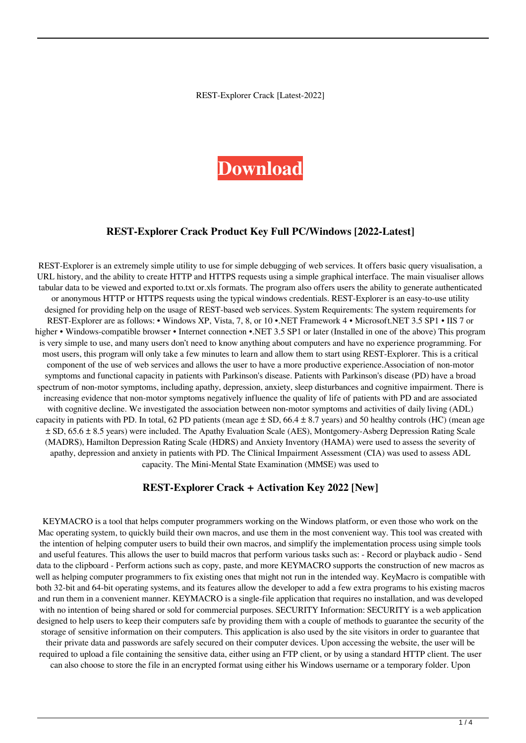REST-Explorer Crack [Latest-2022]

# **[Download](http://evacdir.com/UkVTVC1FeHBsb3JlcgUkV/luxenbourg.expended/malice/tumour/ZG93bmxvYWR8MXVNTlRKbllYeDhNVFkxTkRVeU1qRXhNSHg4TWpVNE4zeDhLRTBwSUVobGNtOXJkU0JiUm1GemRDQkhSVTVk)**

### **REST-Explorer Crack Product Key Full PC/Windows [2022-Latest]**

REST-Explorer is an extremely simple utility to use for simple debugging of web services. It offers basic query visualisation, a URL history, and the ability to create HTTP and HTTPS requests using a simple graphical interface. The main visualiser allows tabular data to be viewed and exported to.txt or.xls formats. The program also offers users the ability to generate authenticated or anonymous HTTP or HTTPS requests using the typical windows credentials. REST-Explorer is an easy-to-use utility designed for providing help on the usage of REST-based web services. System Requirements: The system requirements for REST-Explorer are as follows: • Windows XP, Vista, 7, 8, or 10 •.NET Framework 4 • Microsoft.NET 3.5 SP1 • IIS 7 or higher • Windows-compatible browser • Internet connection •.NET 3.5 SP1 or later (Installed in one of the above) This program is very simple to use, and many users don't need to know anything about computers and have no experience programming. For most users, this program will only take a few minutes to learn and allow them to start using REST-Explorer. This is a critical component of the use of web services and allows the user to have a more productive experience.Association of non-motor symptoms and functional capacity in patients with Parkinson's disease. Patients with Parkinson's disease (PD) have a broad spectrum of non-motor symptoms, including apathy, depression, anxiety, sleep disturbances and cognitive impairment. There is increasing evidence that non-motor symptoms negatively influence the quality of life of patients with PD and are associated with cognitive decline. We investigated the association between non-motor symptoms and activities of daily living (ADL) capacity in patients with PD. In total, 62 PD patients (mean age  $\pm$  SD, 66.4  $\pm$  8.7 years) and 50 healthy controls (HC) (mean age ± SD, 65.6 ± 8.5 years) were included. The Apathy Evaluation Scale (AES), Montgomery-Asberg Depression Rating Scale (MADRS), Hamilton Depression Rating Scale (HDRS) and Anxiety Inventory (HAMA) were used to assess the severity of apathy, depression and anxiety in patients with PD. The Clinical Impairment Assessment (CIA) was used to assess ADL capacity. The Mini-Mental State Examination (MMSE) was used to

#### **REST-Explorer Crack + Activation Key 2022 [New]**

KEYMACRO is a tool that helps computer programmers working on the Windows platform, or even those who work on the Mac operating system, to quickly build their own macros, and use them in the most convenient way. This tool was created with the intention of helping computer users to build their own macros, and simplify the implementation process using simple tools and useful features. This allows the user to build macros that perform various tasks such as: - Record or playback audio - Send data to the clipboard - Perform actions such as copy, paste, and more KEYMACRO supports the construction of new macros as well as helping computer programmers to fix existing ones that might not run in the intended way. KeyMacro is compatible with both 32-bit and 64-bit operating systems, and its features allow the developer to add a few extra programs to his existing macros and run them in a convenient manner. KEYMACRO is a single-file application that requires no installation, and was developed with no intention of being shared or sold for commercial purposes. SECURITY Information: SECURITY is a web application designed to help users to keep their computers safe by providing them with a couple of methods to guarantee the security of the storage of sensitive information on their computers. This application is also used by the site visitors in order to guarantee that their private data and passwords are safely secured on their computer devices. Upon accessing the website, the user will be required to upload a file containing the sensitive data, either using an FTP client, or by using a standard HTTP client. The user can also choose to store the file in an encrypted format using either his Windows username or a temporary folder. Upon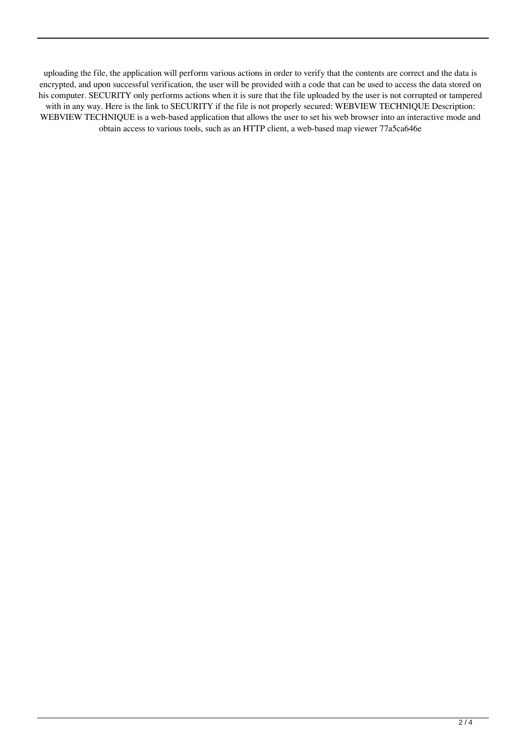uploading the file, the application will perform various actions in order to verify that the contents are correct and the data is encrypted, and upon successful verification, the user will be provided with a code that can be used to access the data stored on his computer. SECURITY only performs actions when it is sure that the file uploaded by the user is not corrupted or tampered with in any way. Here is the link to SECURITY if the file is not properly secured: WEBVIEW TECHNIQUE Description: WEBVIEW TECHNIQUE is a web-based application that allows the user to set his web browser into an interactive mode and obtain access to various tools, such as an HTTP client, a web-based map viewer 77a5ca646e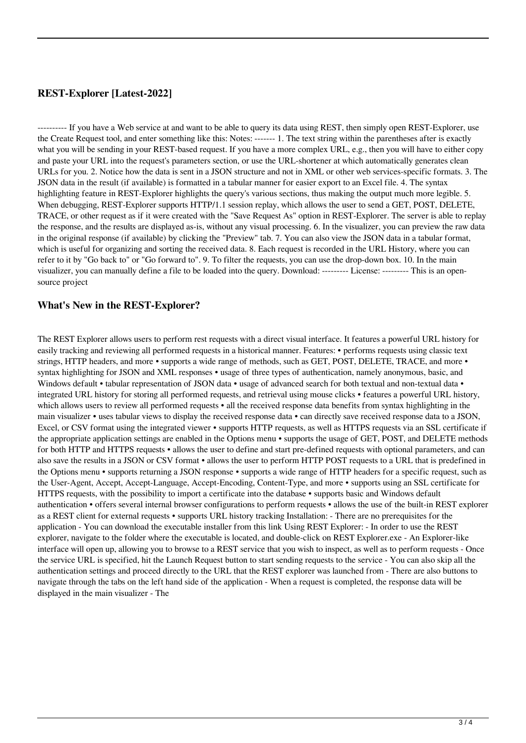## **REST-Explorer [Latest-2022]**

---------- If you have a Web service at and want to be able to query its data using REST, then simply open REST-Explorer, use the Create Request tool, and enter something like this: Notes: ------- 1. The text string within the parentheses after is exactly what you will be sending in your REST-based request. If you have a more complex URL, e.g., then you will have to either copy and paste your URL into the request's parameters section, or use the URL-shortener at which automatically generates clean URLs for you. 2. Notice how the data is sent in a JSON structure and not in XML or other web services-specific formats. 3. The JSON data in the result (if available) is formatted in a tabular manner for easier export to an Excel file. 4. The syntax highlighting feature in REST-Explorer highlights the query's various sections, thus making the output much more legible. 5. When debugging, REST-Explorer supports HTTP/1.1 session replay, which allows the user to send a GET, POST, DELETE, TRACE, or other request as if it were created with the "Save Request As" option in REST-Explorer. The server is able to replay the response, and the results are displayed as-is, without any visual processing. 6. In the visualizer, you can preview the raw data in the original response (if available) by clicking the "Preview" tab. 7. You can also view the JSON data in a tabular format, which is useful for organizing and sorting the received data. 8. Each request is recorded in the URL History, where you can refer to it by "Go back to" or "Go forward to". 9. To filter the requests, you can use the drop-down box. 10. In the main visualizer, you can manually define a file to be loaded into the query. Download: --------- License: --------- This is an opensource project

### **What's New in the REST-Explorer?**

The REST Explorer allows users to perform rest requests with a direct visual interface. It features a powerful URL history for easily tracking and reviewing all performed requests in a historical manner. Features: • performs requests using classic text strings, HTTP headers, and more • supports a wide range of methods, such as GET, POST, DELETE, TRACE, and more • syntax highlighting for JSON and XML responses • usage of three types of authentication, namely anonymous, basic, and Windows default • tabular representation of JSON data • usage of advanced search for both textual and non-textual data • integrated URL history for storing all performed requests, and retrieval using mouse clicks • features a powerful URL history, which allows users to review all performed requests • all the received response data benefits from syntax highlighting in the main visualizer • uses tabular views to display the received response data • can directly save received response data to a JSON, Excel, or CSV format using the integrated viewer • supports HTTP requests, as well as HTTPS requests via an SSL certificate if the appropriate application settings are enabled in the Options menu • supports the usage of GET, POST, and DELETE methods for both HTTP and HTTPS requests • allows the user to define and start pre-defined requests with optional parameters, and can also save the results in a JSON or CSV format • allows the user to perform HTTP POST requests to a URL that is predefined in the Options menu • supports returning a JSON response • supports a wide range of HTTP headers for a specific request, such as the User-Agent, Accept, Accept-Language, Accept-Encoding, Content-Type, and more • supports using an SSL certificate for HTTPS requests, with the possibility to import a certificate into the database • supports basic and Windows default authentication • offers several internal browser configurations to perform requests • allows the use of the built-in REST explorer as a REST client for external requests • supports URL history tracking Installation: - There are no prerequisites for the application - You can download the executable installer from this link Using REST Explorer: - In order to use the REST explorer, navigate to the folder where the executable is located, and double-click on REST Explorer.exe - An Explorer-like interface will open up, allowing you to browse to a REST service that you wish to inspect, as well as to perform requests - Once the service URL is specified, hit the Launch Request button to start sending requests to the service - You can also skip all the authentication settings and proceed directly to the URL that the REST explorer was launched from - There are also buttons to navigate through the tabs on the left hand side of the application - When a request is completed, the response data will be displayed in the main visualizer - The